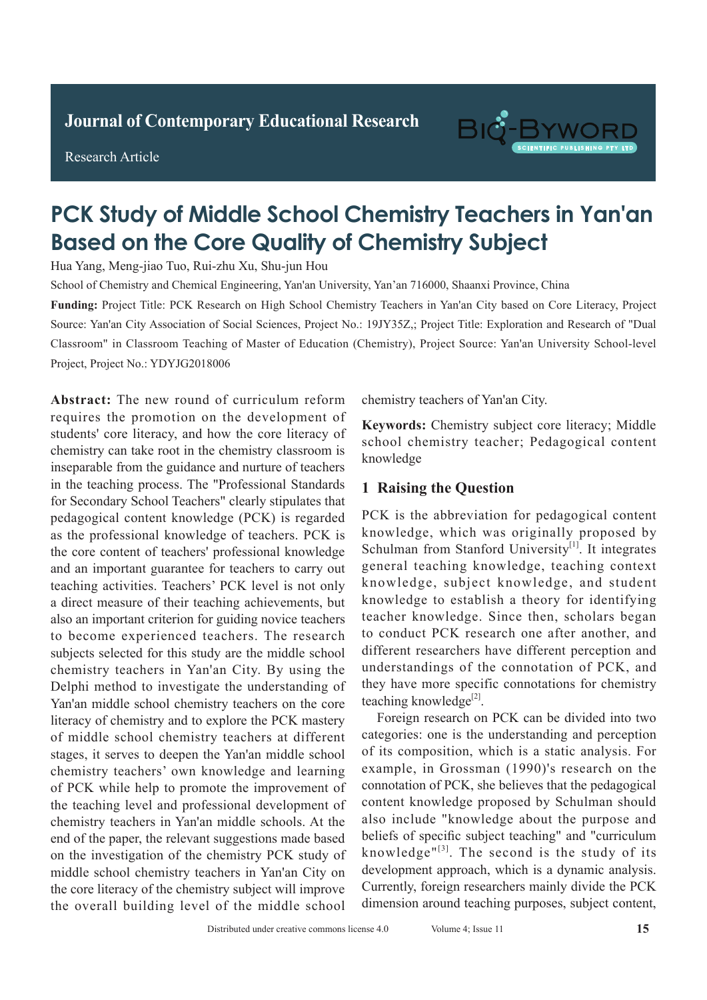**Research Article** 

Research Article



# PCK Study of Middle School Chemistry Teachers in Yan'an **Based on the Core Quality of Chemistry Subject**

Hua Yang, Meng-jiao Tuo, Rui-zhu Xu, Shu-jun Hou

School of Chemistry and Chemical Engineering, Yan'an University, Yan'an 716000, Shaanxi Province, China

Source: Yan'an City Association of Social Sciences, Project No.: 19JY35Z,; Project Title: Exploration and Research of "Dual  $s$ pulshoom in classroom reaching of master of Education Project, Project No.: YDYJG2018006  $\alpha$  pulmonary infection  $\alpha$ Classroom" in Classroom Teaching of Master of Education (Chemistry), Project Source: Yan'an University School-level Funding: Project Title: PCK Research on High School Chemistry Teachers in Yan'an City based on Core Literacy, Project

Abstract: The new round of curriculum reform resolution in the new reality of currential from  $\alpha$  requires the promotion on the development of students' core literacy, and how the core literacy of patients of chemisty, and now the offer inerary of chemistry can take root in the chemistry classroom is enemistry can take root in the enemistry classroom is<br>inseparable from the guidance and nurture of teachers tuberculosis in the teaching process. The "Professional Standards" *Results: The Processional bundary* School Teachers and the detection rate of active pullons, and the detection rate of active pullons, and the detection rate of active pullons, and the detection rate of a control of a con tor secondary sensor reactions elearly superates and pedagogical content knowledge (PCK) is regarded. pedagogical content knowledge (1 CK) is regarded as the professional knowledge of teachers. PCK is the core content of teachers' professional knowledge of  $\alpha$ . and an important guarantee for teachers to carry out teaching activities. Teachers' PCK level is not only a direct measure of their teaching achievements, but also an important criterion for guiding novice teachers to become experienced teachers. The research subjects selected for this study are the middle school chemistry teachers in Yan'an City. By using the Delphi method to investigate the understanding of Yan'an middle school chemistry teachers on the core literacy of chemistry and to explore the PCK mastery of middle school chemistry teachers at different stages, it serves to deepen the Yan'an middle school chemistry teachers' own knowledge and learning of PCK while help to promote the improvement of the teaching level and professional development of chemistry teachers in Yan'an middle schools. At the on the investigation of the chemistry PCK study of middle school chemistry teachers in Yan'an City on the core literacy of the chemistry subject will improve the overall building level of the middle school end of the paper, the relevant suggestions made based  $\alpha$  content of teachers professional Knowledge and an important guarantee for teachers to early out reating activities. Feachers TCK fever is not only

chemistry teachers of Yan'an City.  $t_{\text{t}}$  statistically statistically such as coupled as  $t_{\text{t}}$ ,  $t_{\text{t}}$ 

Keywords: Chemistry subject core literacy; Middle tre, where entering subject the interior, mixture school chemistry teacher; Pedagogical content<br>knowledge  $\mathcal{L}_{\text{max}}$ knowledge **Keywords:** Chemistry subject core literacy; Middle school chemistry teacher; Pedagogical content<br>knowledge

#### **1 Raising the Question** develop into tuberculosis when the allergy increases and endanger patients  $\mathcal{Z}$ . In addition, patients, patients, patients, patients, patients, patients, patients, patients, patients, patients, patients, patients, patients, patients, patients, patients, patients, patien

PCK is the abbreviation for pedagogical content knowledge, which was originally proposed by Schulman from Stanford University<sup>[1]</sup>. It integrates. general teaching knowledge, teaching context general continuing time when go, continuing continues the diverge, subject interdedge, and statent mical, and complicated and takes a long time and takes a long time when  $\frac{1}{n}$  is not taken in the state of the state of the state of the state of the state of the state of the state of the state of the state of the sta to conduct PCK research one after another, and to conduct PCK research one after another, and to conduct I on research one after another, and different researchers have different perception and interest researchers have affected perception and understandings of the connotation of PCK, and they have more specific connotations for chemistry teaching knowledge<sup>[2]</sup>. understandings of the connotation of PCK, and they have more specific connotations for chemistry teaching knowledge<sup>[2]</sup>.  $\frac{1}{2}$  in the specific completions for chemistry

Foreign research on PCK can be divided into two Foreign research on PCK can be divided into two categories: one is the understanding and perception example, in Grossman (1990)'s research on the **1.1 General information** content knowledge proposed by Schulman should also include "knowledge about the purpose and beliefs of specific subject teaching" and "curriculum knowledge" $[3]$ . The second is the study of its knowledge. The second is the stady of its development approach, which is a dynamic analysis. development approach, which is a dynamic analysis.<br>Currently, foreign researchers mainly divide the PCK 1 of the middle school dimension around teaching purposes, subject content,<br>Distributed under creative commons license 4.0 Volume 4; Issue 11 15 eategories. one is the understanding and perception of its composition, which is a static analysis. For connotation of PCK, she believes that the pedagogical of its composition, which is annension around icaening purposes, subject content,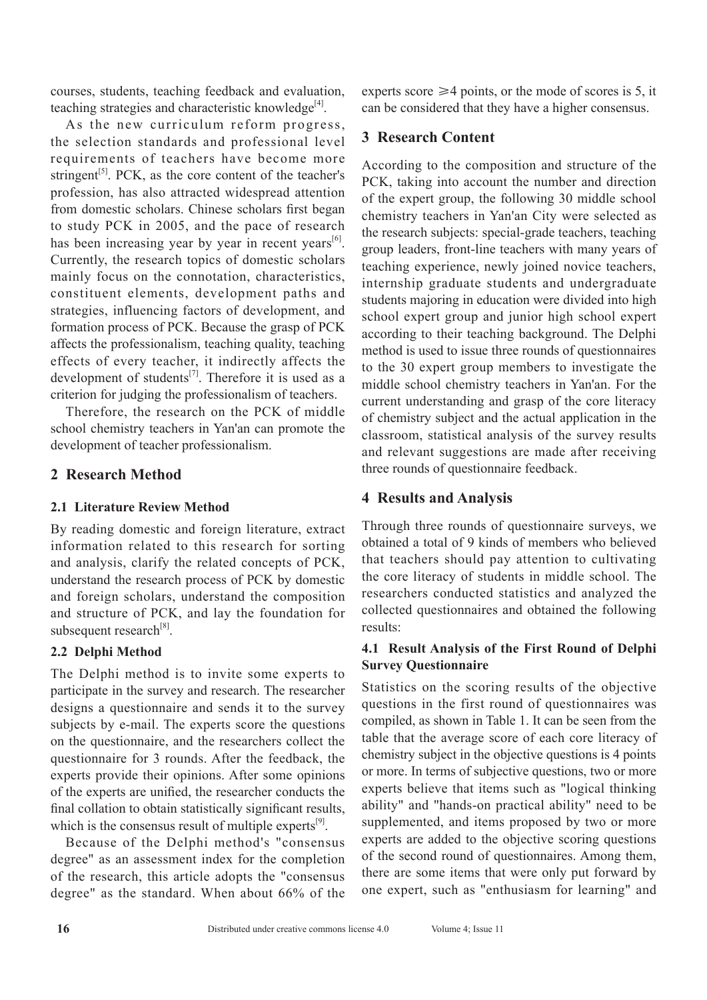courses, students, teaching feedback and evaluation, teaching strategies and characteristic knowledge $^{[4]}$ .

As the new curriculum reform progress, the selection standards and professional level requirements of teachers have become more stringent<sup>[5]</sup>. PCK, as the core content of the teacher's profession, has also attracted widespread attention from domestic scholars. Chinese scholars first began to study PCK in 2005, and the pace of research has been increasing year by year in recent years $[6]$ . Currently, the research topics of domestic scholars mainly focus on the connotation, characteristics, constituent elements, development paths and strategies, influencing factors of development, and formation process of PCK. Because the grasp of PCK affects the professionalism, teaching quality, teaching effects of every teacher, it indirectly affects the development of students<sup>[7]</sup>. Therefore it is used as a criterion for judging the professionalism of teachers.

Therefore, the research on the PCK of middle school chemistry teachers in Yan'an can promote the development of teacher professionalism.

# **2 Research Method**

## **2.1 Literature Review Method**

By reading domestic and foreign literature, extract information related to this research for sorting and analysis, clarify the related concepts of PCK, understand the research process of PCK by domestic and foreign scholars, understand the composition and structure of PCK, and lay the foundation for subsequent research<sup>[8]</sup>.

# **2.2 Delphi Method**

The Delphi method is to invite some experts to participate in the survey and research. The researcher designs a questionnaire and sends it to the survey subjects by e-mail. The experts score the questions on the questionnaire, and the researchers collect the questionnaire for 3 rounds. After the feedback, the experts provide their opinions. After some opinions of the experts are unified, the researcher conducts the final collation to obtain statistically significant results, which is the consensus result of multiple experts<sup>[9]</sup>.

Because of the Delphi method's "consensus degree" as an assessment index for the completion of the research, this article adopts the "consensus degree" as the standard. When about 66% of the experts score  $\geq 4$  points, or the mode of scores is 5, it can be considered that they have a higher consensus.

# **3 Research Content**

According to the composition and structure of the PCK, taking into account the number and direction of the expert group, the following 30 middle school chemistry teachers in Yan'an City were selected as the research subjects: special-grade teachers, teaching group leaders, front-line teachers with many years of teaching experience, newly joined novice teachers, internship graduate students and undergraduate students majoring in education were divided into high school expert group and junior high school expert according to their teaching background. The Delphi method is used to issue three rounds of questionnaires to the 30 expert group members to investigate the middle school chemistry teachers in Yan'an. For the current understanding and grasp of the core literacy of chemistry subject and the actual application in the classroom, statistical analysis of the survey results and relevant suggestions are made after receiving three rounds of questionnaire feedback.

# **4 Results and Analysis**

Through three rounds of questionnaire surveys, we obtained a total of 9 kinds of members who believed that teachers should pay attention to cultivating the core literacy of students in middle school. The researchers conducted statistics and analyzed the collected questionnaires and obtained the following results:

## **4.1 Result Analysis of the First Round of Delphi Survey Questionnaire**

Statistics on the scoring results of the objective questions in the first round of questionnaires was compiled, as shown in Table 1. It can be seen from the table that the average score of each core literacy of chemistry subject in the objective questions is 4 points or more. In terms of subjective questions, two or more experts believe that items such as "logical thinking ability" and "hands-on practical ability" need to be supplemented, and items proposed by two or more experts are added to the objective scoring questions of the second round of questionnaires. Among them, there are some items that were only put forward by one expert, such as "enthusiasm for learning" and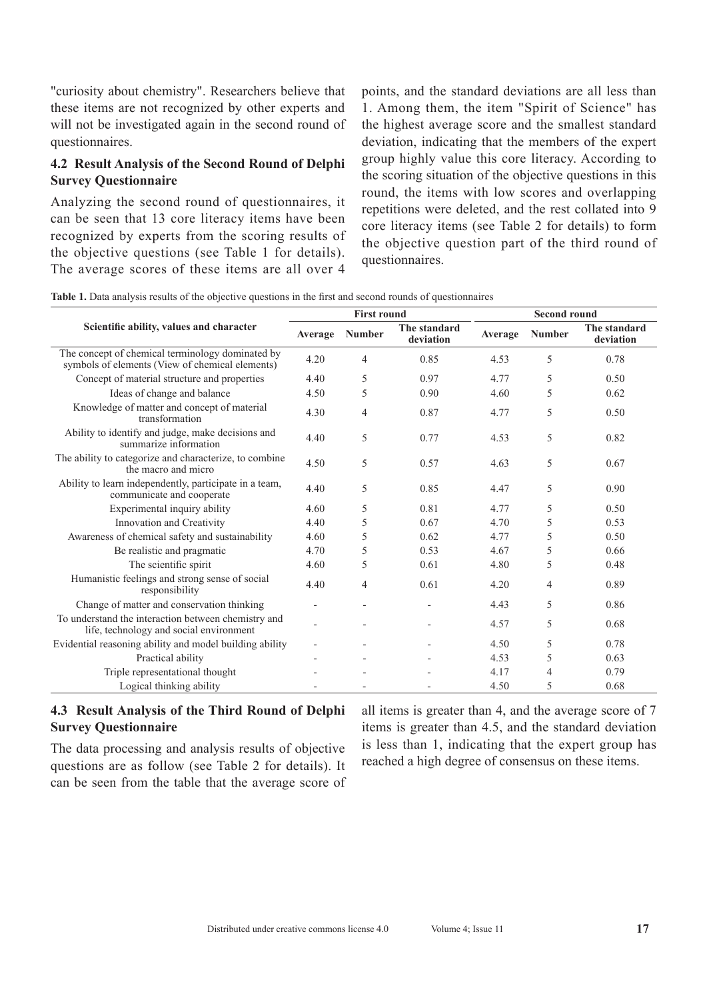"curiosity about chemistry". Researchers believe that these items are not recognized by other experts and will not be investigated again in the second round of questionnaires.

## **4.2 Result Analysis of the Second Round of Delphi Survey Questionnaire**

Analyzing the second round of questionnaires, it can be seen that 13 core literacy items have been recognized by experts from the scoring results of the objective questions (see Table 1 for details). The average scores of these items are all over 4 points, and the standard deviations are all less than 1. Among them, the item "Spirit of Science" has the highest average score and the smallest standard deviation, indicating that the members of the expert group highly value this core literacy. According to the scoring situation of the objective questions in this round, the items with low scores and overlapping repetitions were deleted, and the rest collated into 9 core literacy items (see Table 2 for details) to form the objective question part of the third round of questionnaires.

**Table 1.** Data analysis results of the objective questions in the first and second rounds of questionnaires

|                                                                                                     | <b>First round</b> |               |                           | <b>Second round</b> |               |                           |
|-----------------------------------------------------------------------------------------------------|--------------------|---------------|---------------------------|---------------------|---------------|---------------------------|
| Scientific ability, values and character                                                            | Average            | <b>Number</b> | The standard<br>deviation | Average             | <b>Number</b> | The standard<br>deviation |
| The concept of chemical terminology dominated by<br>symbols of elements (View of chemical elements) | 4.20               | 4             | 0.85                      | 4.53                | 5             | 0.78                      |
| Concept of material structure and properties                                                        | 4.40               | 5             | 0.97                      | 4.77                | 5             | 0.50                      |
| Ideas of change and balance                                                                         | 4.50               | 5             | 0.90                      | 4.60                | 5             | 0.62                      |
| Knowledge of matter and concept of material<br>transformation                                       | 4.30               | 4             | 0.87                      | 4.77                | 5             | 0.50                      |
| Ability to identify and judge, make decisions and<br>summarize information                          | 4.40               | 5             | 0.77                      | 4.53                | 5             | 0.82                      |
| The ability to categorize and characterize, to combine<br>the macro and micro                       | 4.50               | 5             | 0.57                      | 4.63                | 5             | 0.67                      |
| Ability to learn independently, participate in a team,<br>communicate and cooperate                 | 4.40               | 5             | 0.85                      | 4.47                | 5             | 0.90                      |
| Experimental inquiry ability                                                                        | 4.60               | 5             | 0.81                      | 4.77                | 5             | 0.50                      |
| Innovation and Creativity                                                                           | 4.40               | 5             | 0.67                      | 4.70                | 5             | 0.53                      |
| Awareness of chemical safety and sustainability                                                     | 4.60               | 5             | 0.62                      | 4.77                | 5             | 0.50                      |
| Be realistic and pragmatic                                                                          | 4.70               | 5             | 0.53                      | 4.67                | 5             | 0.66                      |
| The scientific spirit                                                                               | 4.60               | 5             | 0.61                      | 4.80                | 5             | 0.48                      |
| Humanistic feelings and strong sense of social<br>responsibility                                    | 4.40               | 4             | 0.61                      | 4.20                | 4             | 0.89                      |
| Change of matter and conservation thinking                                                          | $\overline{a}$     |               |                           | 4.43                | 5             | 0.86                      |
| To understand the interaction between chemistry and<br>life, technology and social environment      |                    |               |                           | 4.57                | 5             | 0.68                      |
| Evidential reasoning ability and model building ability                                             |                    |               |                           | 4.50                | 5             | 0.78                      |
| Practical ability                                                                                   |                    |               |                           | 4.53                | 5             | 0.63                      |
| Triple representational thought                                                                     |                    |               |                           | 4.17                | 4             | 0.79                      |
| Logical thinking ability                                                                            |                    |               |                           | 4.50                | 5             | 0.68                      |

### **4.3 Result Analysis of the Third Round of Delphi Survey Questionnaire**

The data processing and analysis results of objective questions are as follow (see Table 2 for details). It can be seen from the table that the average score of all items is greater than 4, and the average score of 7 items is greater than 4.5, and the standard deviation is less than 1, indicating that the expert group has reached a high degree of consensus on these items.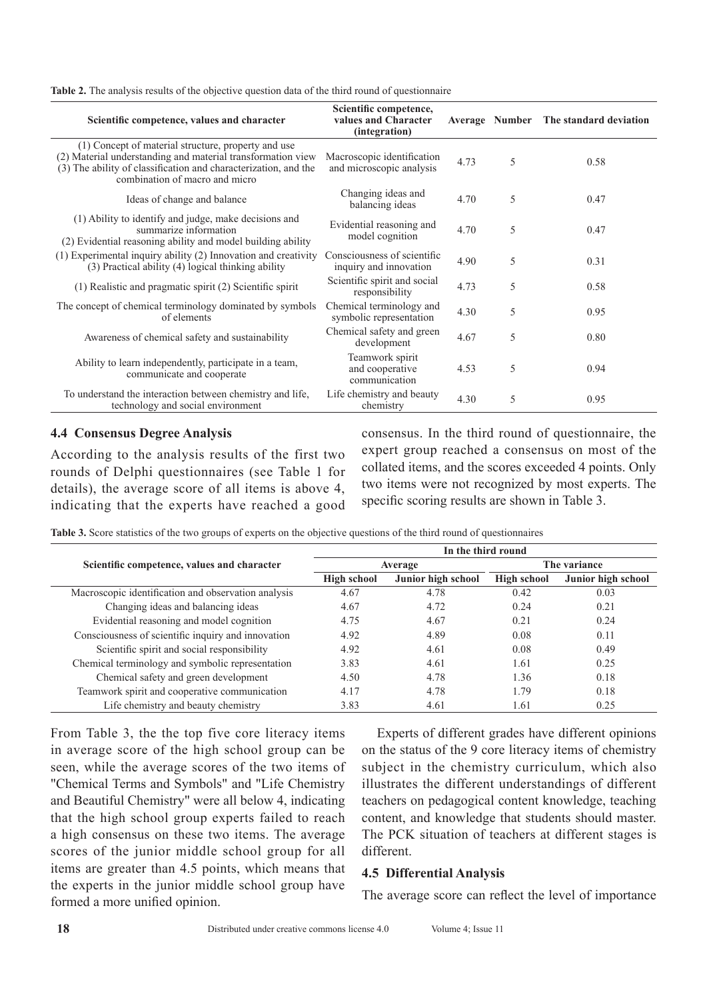| Table 2. The analysis results of the objective question data of the third round of questionnaire |  |  |  |
|--------------------------------------------------------------------------------------------------|--|--|--|
|                                                                                                  |  |  |  |

| Scientific competence, values and character                                                                                                                                                                             | Scientific competence,<br>values and Character<br>(integration) |      |   | Average Number The standard deviation |
|-------------------------------------------------------------------------------------------------------------------------------------------------------------------------------------------------------------------------|-----------------------------------------------------------------|------|---|---------------------------------------|
| (1) Concept of material structure, property and use<br>(2) Material understanding and material transformation view<br>(3) The ability of classification and characterization, and the<br>combination of macro and micro | Macroscopic identification<br>and microscopic analysis          | 4.73 | 5 | 0.58                                  |
| Ideas of change and balance                                                                                                                                                                                             | Changing ideas and<br>balancing ideas                           | 4.70 | 5 | 0.47                                  |
| (1) Ability to identify and judge, make decisions and<br>summarize information<br>(2) Evidential reasoning ability and model building ability                                                                           | Evidential reasoning and<br>model cognition                     | 4.70 | 5 | 0.47                                  |
| $(1)$ Experimental inquiry ability $(2)$ Innovation and creativity<br>(3) Practical ability (4) logical thinking ability                                                                                                | Consciousness of scientific<br>inquiry and innovation           | 4.90 | 5 | 0.31                                  |
| (1) Realistic and pragmatic spirit (2) Scientific spirit                                                                                                                                                                | Scientific spirit and social<br>responsibility                  | 4.73 | 5 | 0.58                                  |
| The concept of chemical terminology dominated by symbols<br>of elements                                                                                                                                                 | Chemical terminology and<br>symbolic representation             | 4.30 | 5 | 0.95                                  |
| Awareness of chemical safety and sustainability                                                                                                                                                                         | Chemical safety and green<br>development                        | 4.67 | 5 | 0.80                                  |
| Ability to learn independently, participate in a team,<br>communicate and cooperate                                                                                                                                     | Teamwork spirit<br>and cooperative<br>communication             | 4.53 | 5 | 0.94                                  |
| To understand the interaction between chemistry and life,<br>technology and social environment                                                                                                                          | Life chemistry and beauty<br>chemistry                          | 4.30 | 5 | 0.95                                  |

#### **4.4 Consensus Degree Analysis**

According to the analysis results of the first two rounds of Delphi questionnaires (see Table 1 for details), the average score of all items is above 4, indicating that the experts have reached a good consensus. In the third round of questionnaire, the expert group reached a consensus on most of the collated items, and the scores exceeded 4 points. Only two items were not recognized by most experts. The specific scoring results are shown in Table 3.

**Table 3.** Score statistics of the two groups of experts on the objective questions of the third round of questionnaires

|                                                     | In the third round |                    |                    |                    |  |  |
|-----------------------------------------------------|--------------------|--------------------|--------------------|--------------------|--|--|
| Scientific competence, values and character         |                    | Average            | The variance       |                    |  |  |
|                                                     | <b>High school</b> | Junior high school | <b>High school</b> | Junior high school |  |  |
| Macroscopic identification and observation analysis | 4.67               | 4.78               | 0.42               | 0.03               |  |  |
| Changing ideas and balancing ideas                  | 4.67               | 4.72               | 0.24               | 0.21               |  |  |
| Evidential reasoning and model cognition            | 4.75               | 4.67               | 0.21               | 0.24               |  |  |
| Consciousness of scientific inquiry and innovation  | 4.92               | 4.89               | 0.08               | 0.11               |  |  |
| Scientific spirit and social responsibility         | 4.92               | 4.61               | 0.08               | 0.49               |  |  |
| Chemical terminology and symbolic representation    | 3.83               | 4.61               | 1.61               | 0.25               |  |  |
| Chemical safety and green development               | 4.50               | 4.78               | 1.36               | 0.18               |  |  |
| Teamwork spirit and cooperative communication       | 4.17               | 4.78               | 1.79               | 0.18               |  |  |
| Life chemistry and beauty chemistry                 | 3.83               | 4.61               | 1.61               | 0.25               |  |  |

From Table 3, the the top five core literacy items in average score of the high school group can be seen, while the average scores of the two items of "Chemical Terms and Symbols" and "Life Chemistry and Beautiful Chemistry" were all below 4, indicating that the high school group experts failed to reach a high consensus on these two items. The average scores of the junior middle school group for all items are greater than 4.5 points, which means that the experts in the junior middle school group have formed a more unified opinion.

Experts of different grades have different opinions on the status of the 9 core literacy items of chemistry subject in the chemistry curriculum, which also illustrates the different understandings of different teachers on pedagogical content knowledge, teaching content, and knowledge that students should master. The PCK situation of teachers at different stages is different.

#### **4.5 Differential Analysis**

The average score can reflect the level of importance